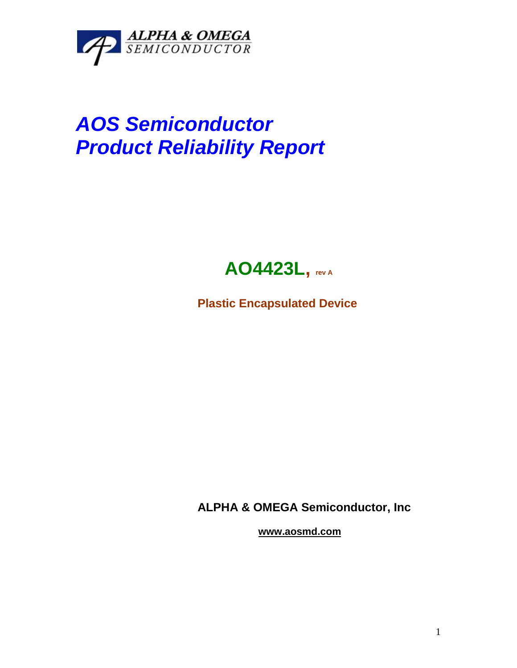

## *AOS Semiconductor Product Reliability Report*



**Plastic Encapsulated Device**

**ALPHA & OMEGA Semiconductor, Inc**

**www.aosmd.com**